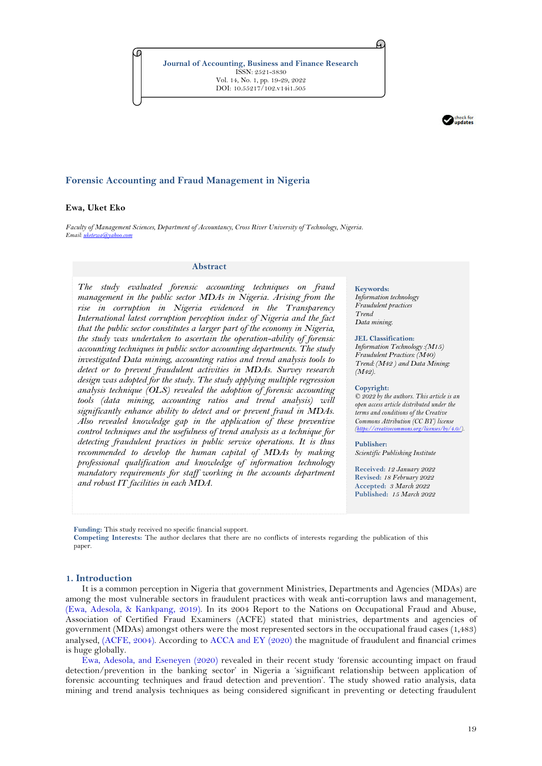**Journal of Accounting, Business and Finance Research** ISSN: 2521-3830 Vol. 14, No. 1, pp. 19-29, 2022 DOI: 10.55217/102.v14i1.505



# **Forensic Accounting and Fraud Management in Nigeria**

### **Ewa, Uket Eko**

*Faculty of Management Sciences, Department of Accountancy, Cross River University of Technology, Nigeria. Email:* uket

### **Abstract**

*The study evaluated forensic accounting techniques on fraud management in the public sector MDAs in Nigeria. Arising from the rise in corruption in Nigeria evidenced in the Transparency International latest corruption perception index of Nigeria and the fact that the public sector constitutes a larger part of the economy in Nigeria, the study was undertaken to ascertain the operation-ability of forensic accounting techniques in public sector accounting departments. The study investigated Data mining, accounting ratios and trend analysis tools to detect or to prevent fraudulent activities in MDAs. Survey research design was adopted for the study. The study applying multiple regression analysis technique (OLS) revealed the adoption of forensic accounting tools (data mining, accounting ratios and trend analysis) will significantly enhance ability to detect and or prevent fraud in MDAs. Also revealed knowledge gap in the application of these preventive control techniques and the usefulness of trend analysis as a technique for detecting fraudulent practices in public service operations. It is thus recommended to develop the human capital of MDAs by making professional qualification and knowledge of information technology mandatory requirements for staff working in the accounts department and robust IT facilities in each MDA.*

#### **Keywords:**

A.

*Information technology Fraudulent practices Trend Data mining.*

#### **JEL Classification:**

*Information Technology :(M15) Fraudulent Practices: (M40) Trend: (M42 ) and Data Mining: (M42).*

#### **Copyright:**

*© 2022 by the authors. This article is an open access article distributed under the terms and conditions of the Creative Commons Attribution (CC BY) license [\(https://creativecommons.org/licenses/by/4.0/\).](https://creativecommons.org/licenses/by/4.0/)*

### **Publisher:**

*Scientific Publishing Institute*

**Received:** *12 January 2022* **Revised:** *18 February 2022* **Accepted:** *3 March 2022* **Published:** *15 March 2022*

**Funding:** This study received no specific financial support.

**Competing Interests:** The author declares that there are no conflicts of interests regarding the publication of this paper.

### **1. Introduction**

It is a common perception in Nigeria that government Ministries, Departments and Agencies (MDAs) are among the most vulnerable sectors in fraudulent practices with weak anti-corruption laws and management, [\(Ewa, Adesola, & Kankpang, 2019\)](#page-9-0). In its 2004 Report to the Nations on Occupational Fraud and Abuse, Association of Certified Fraud Examiners (ACFE) stated that ministries, departments and agencies of government (MDAs) amongst others were the most represented sectors in the occupational fraud cases (1,483) analysed, [\(ACFE, 2004\)](#page-9-1). According to [ACCA and EY \(2020\)](#page-9-2) the magnitude of fraudulent and financial crimes is huge globally.

[Ewa, Adesola, and Eseneyen \(2020\)](#page-9-3) revealed in their recent study 'forensic accounting impact on fraud detection/prevention in the banking sector' in Nigeria a 'significant relationship between application of forensic accounting techniques and fraud detection and prevention'. The study showed ratio analysis, data mining and trend analysis techniques as being considered significant in preventing or detecting fraudulent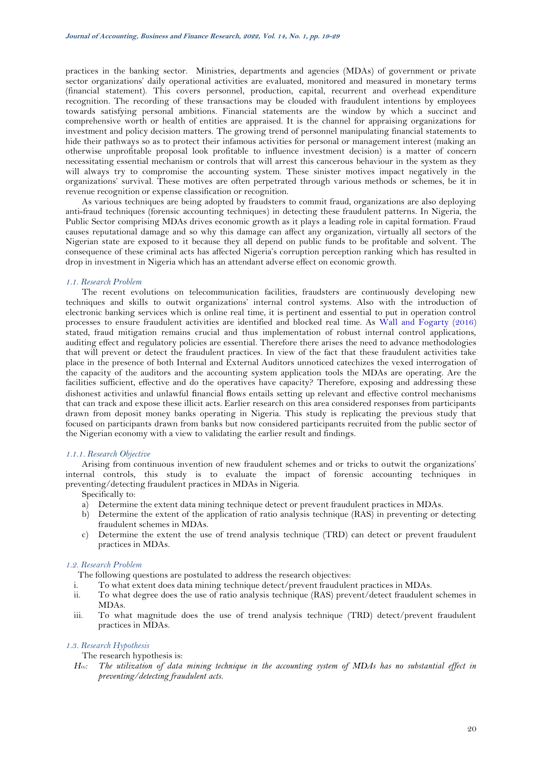practices in the banking sector. Ministries, departments and agencies (MDAs) of government or private sector organizations' daily operational activities are evaluated, monitored and measured in monetary terms (financial statement). This covers personnel, production, capital, recurrent and overhead expenditure recognition. The recording of these transactions may be clouded with fraudulent intentions by employees towards satisfying personal ambitions. Financial statements are the window by which a succinct and comprehensive worth or health of entities are appraised. It is the channel for appraising organizations for investment and policy decision matters. The growing trend of personnel manipulating financial statements to hide their pathways so as to protect their infamous activities for personal or management interest (making an otherwise unprofitable proposal look profitable to influence investment decision) is a matter of concern necessitating essential mechanism or controls that will arrest this cancerous behaviour in the system as they will always try to compromise the accounting system. These sinister motives impact negatively in the organizations' survival. These motives are often perpetrated through various methods or schemes, be it in revenue recognition or expense classification or recognition.

As various techniques are being adopted by fraudsters to commit fraud, organizations are also deploying anti-fraud techniques (forensic accounting techniques) in detecting these fraudulent patterns. In Nigeria, the Public Sector comprising MDAs drives economic growth as it plays a leading role in capital formation. Fraud causes reputational damage and so why this damage can affect any organization, virtually all sectors of the Nigerian state are exposed to it because they all depend on public funds to be profitable and solvent. The consequence of these criminal acts has affected Nigeria's corruption perception ranking which has resulted in drop in investment in Nigeria which has an attendant adverse effect on economic growth.

# *1.1. Research Problem*

The recent evolutions on telecommunication facilities, fraudsters are continuously developing new techniques and skills to outwit organizations' internal control systems. Also with the introduction of electronic banking services which is online real time, it is pertinent and essential to put in operation control processes to ensure fraudulent activities are identified and blocked real time. As [Wall and Fogarty \(2016\)](#page-10-0) stated, fraud mitigation remains crucial and thus implementation of robust internal control applications, auditing effect and regulatory policies are essential. Therefore there arises the need to advance methodologies that will prevent or detect the fraudulent practices. In view of the fact that these fraudulent activities take place in the presence of both Internal and External Auditors unnoticed catechizes the vexed interrogation of the capacity of the auditors and the accounting system application tools the MDAs are operating. Are the facilities sufficient, effective and do the operatives have capacity? Therefore, exposing and addressing these dishonest activities and unlawful financial flows entails setting up relevant and effective control mechanisms that can track and expose these illicit acts. Earlier research on this area considered responses from participants drawn from deposit money banks operating in Nigeria. This study is replicating the previous study that focused on participants drawn from banks but now considered participants recruited from the public sector of the Nigerian economy with a view to validating the earlier result and findings.

### *1.1.1. Research Objective*

Arising from continuous invention of new fraudulent schemes and or tricks to outwit the organizations' internal controls, this study is to evaluate the impact of forensic accounting techniques in preventing/detecting fraudulent practices in MDAs in Nigeria.

# Specifically to:

- a) Determine the extent data mining technique detect or prevent fraudulent practices in MDAs.
- b) Determine the extent of the application of ratio analysis technique (RAS) in preventing or detecting fraudulent schemes in MDAs.
- c) Determine the extent the use of trend analysis technique (TRD) can detect or prevent fraudulent practices in MDAs.

# *1.2. Research Problem*

The following questions are postulated to address the research objectives:

- i. To what extent does data mining technique detect/prevent fraudulent practices in MDAs.
- ii. To what degree does the use of ratio analysis technique (RAS) prevent/detect fraudulent schemes in MDAs.
- iii. To what magnitude does the use of trend analysis technique (TRD) detect/prevent fraudulent practices in MDAs.

# *1.3. Research Hypothesis*

# The research hypothesis is:

*HO1: The utilization of data mining technique in the accounting system of MDAs has no substantial effect in preventing/detecting fraudulent acts.*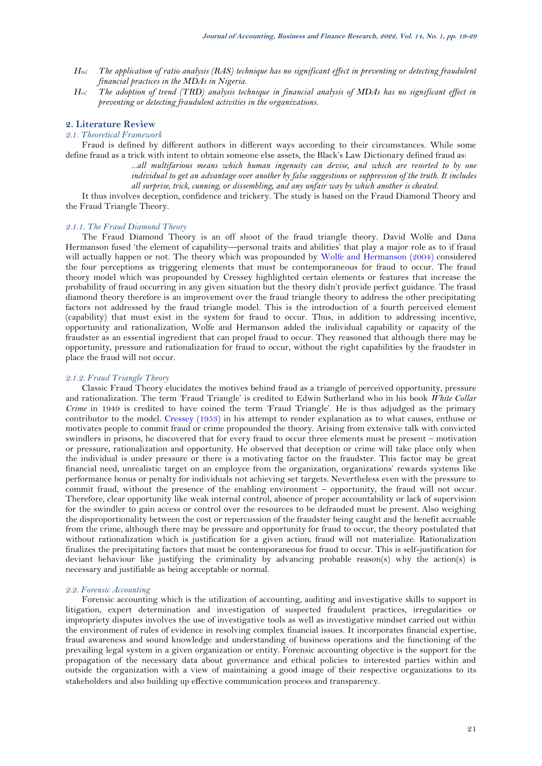- *HO2: The application of ratio analysis (RAS) technique has no significant effect in preventing or detecting fraudulent financial practices in the MDAs in Nigeria.*
- *H03: The adoption of trend (TRD) analysis technique in financial analysis of MDAs has no significant effect in preventing or detecting fraudulent activities in the organizations.*

# **2. Literature Review**

# *2.1. Theoretical Framework*

Fraud is defined by different authors in different ways according to their circumstances. While some define fraud as a trick with intent to obtain someone else assets, the Black's Law Dictionary defined fraud as:

> *...all multifarious means which human ingenuity can devise, and which are resorted to by one individual to get an advantage over another by false suggestions or suppression of the truth. It includes all surprise, trick, cunning, or dissembling, and any unfair way by which another is cheated*.

It thus involves deception, confidence and trickery. The study is based on the Fraud Diamond Theory and the Fraud Triangle Theory.

## *2.1.1. The Fraud Diamond Theory*

The Fraud Diamond Theory is an off shoot of the fraud triangle theory. David Wolfe and Dana Hermanson fused 'the element of capability—personal traits and abilities' that play a major role as to if fraud will actually happen or not. The theory which was propounded by [Wolfe and Hermanson \(2004\)](#page-10-1) considered the four perceptions as triggering elements that must be contemporaneous for fraud to occur. The fraud theory model which was propounded by Cressey highlighted certain elements or features that increase the probability of fraud occurring in any given situation but the theory didn't provide perfect guidance. The fraud diamond theory therefore is an improvement over the fraud triangle theory to address the other precipitating factors not addressed by the fraud triangle model. This is the introduction of a fourth perceived element (capability) that must exist in the system for fraud to occur. Thus, in addition to addressing incentive, opportunity and rationalization, Wolfe and Hermanson added the individual capability or capacity of the fraudster as an essential ingredient that can propel fraud to occur. They reasoned that although there may be opportunity, pressure and rationalization for fraud to occur, without the right capabilities by the fraudster in place the fraud will not occur.

# *2.1.2. Fraud Triangle Theory*

Classic Fraud Theory elucidates the motives behind fraud as a triangle of perceived opportunity, pressure and rationalization. The term 'Fraud Triangle' is credited to Edwin Sutherland who in his book *White Collar Crime* in 1949 is credited to have coined the term 'Fraud Triangle'. He is thus adjudged as the primary contributor to the model. [Cressey \(1953\)](#page-9-4) in his attempt to render explanation as to what causes, enthuse or motivates people to commit fraud or crime propounded the theory. Arising from extensive talk with convicted swindlers in prisons, he discovered that for every fraud to occur three elements must be present – motivation or pressure, rationalization and opportunity. He observed that deception or crime will take place only when the individual is under pressure or there is a motivating factor on the fraudster. This factor may be great financial need, unrealistic target on an employee from the organization, organizations' rewards systems like performance bonus or penalty for individuals not achieving set targets. Nevertheless even with the pressure to commit fraud, without the presence of the enabling environment – opportunity, the fraud will not occur. Therefore, clear opportunity like weak internal control, absence of proper accountability or lack of supervision for the swindler to gain access or control over the resources to be defrauded must be present. Also weighing the disproportionality between the cost or repercussion of the fraudster being caught and the benefit accruable from the crime, although there may be pressure and opportunity for fraud to occur, the theory postulated that without rationalization which is justification for a given action, fraud will not materialize. Rationalization finalizes the precipitating factors that must be contemporaneous for fraud to occur. This is self-justification for deviant behaviour like justifying the criminality by advancing probable reason(s) why the action(s) is necessary and justifiable as being acceptable or normal.

### *2.2. Forensic Accounting*

Forensic accounting which is the utilization of accounting, auditing and investigative skills to support in litigation, expert determination and investigation of suspected fraudulent practices, irregularities or impropriety disputes involves the use of investigative tools as well as investigative mindset carried out within the environment of rules of evidence in resolving complex financial issues. It incorporates financial expertise, fraud awareness and sound knowledge and understanding of business operations and the functioning of the prevailing legal system in a given organization or entity. Forensic accounting objective is the support for the propagation of the necessary data about governance and ethical policies to interested parties within and outside the organization with a view of maintaining a good image of their respective organizations to its stakeholders and also building up effective communication process and transparency.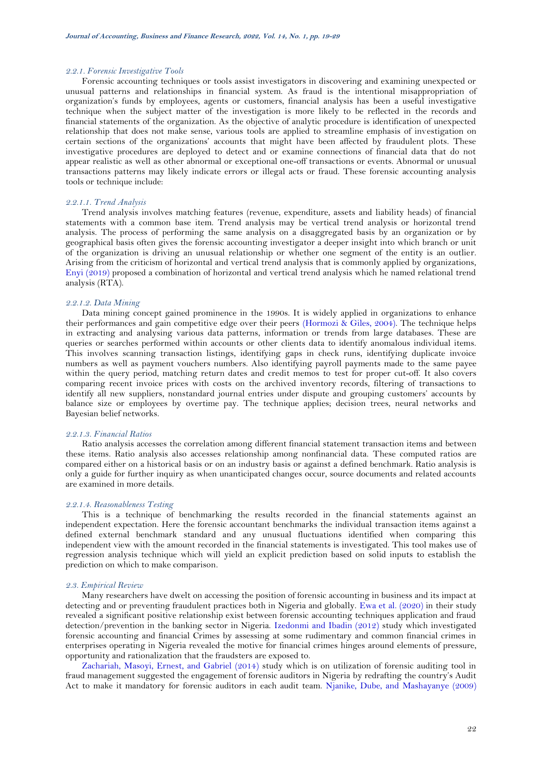### *2.2.1. Forensic Investigative Tools*

Forensic accounting techniques or tools assist investigators in discovering and examining unexpected or unusual patterns and relationships in financial system. As fraud is the intentional misappropriation of organization's funds by employees, agents or customers, financial analysis has been a useful investigative technique when the subject matter of the investigation is more likely to be reflected in the records and financial statements of the organization. As the objective of analytic procedure is identification of unexpected relationship that does not make sense, various tools are applied to streamline emphasis of investigation on certain sections of the organizations' accounts that might have been affected by fraudulent plots. These investigative procedures are deployed to detect and or examine connections of financial data that do not appear realistic as well as other abnormal or exceptional one-off transactions or events. Abnormal or unusual transactions patterns may likely indicate errors or illegal acts or fraud. These forensic accounting analysis tools or technique include:

# *2.2.1.1. Trend Analysis*

Trend analysis involves matching features (revenue, expenditure, assets and liability heads) of financial statements with a common base item. Trend analysis may be vertical trend analysis or horizontal trend analysis. The process of performing the same analysis on a disaggregated basis by an organization or by geographical basis often gives the forensic accounting investigator a deeper insight into which branch or unit of the organization is driving an unusual relationship or whether one segment of the entity is an outlier. Arising from the criticism of horizontal and vertical trend analysis that is commonly applied by organizations, [Enyi \(2019\)](#page-9-5) proposed a combination of horizontal and vertical trend analysis which he named relational trend analysis (RTA).

# *2.2.1.2. Data Mining*

Data mining concept gained prominence in the 1990s. It is widely applied in organizations to enhance their performances and gain competitive edge over their peers [\(Hormozi & Giles, 2004\)](#page-9-6). The technique helps in extracting and analysing various data patterns, information or trends from large databases. These are queries or searches performed within accounts or other clients data to identify anomalous individual items. This involves scanning transaction listings, identifying gaps in check runs, identifying duplicate invoice numbers as well as payment vouchers numbers. Also identifying payroll payments made to the same payee within the query period, matching return dates and credit memos to test for proper cut-off. It also covers comparing recent invoice prices with costs on the archived inventory records, filtering of transactions to identify all new suppliers, nonstandard journal entries under dispute and grouping customers' accounts by balance size or employees by overtime pay. The technique applies; decision trees, neural networks and Bayesian belief networks.

### *2.2.1.3. Financial Ratios*

Ratio analysis accesses the correlation among different financial statement transaction items and between these items. Ratio analysis also accesses relationship among nonfinancial data. These computed ratios are compared either on a historical basis or on an industry basis or against a defined benchmark. Ratio analysis is only a guide for further inquiry as when unanticipated changes occur, source documents and related accounts are examined in more details.

### *2.2.1.4. Reasonableness Testing*

This is a technique of benchmarking the results recorded in the financial statements against an independent expectation. Here the forensic accountant benchmarks the individual transaction items against a defined external benchmark standard and any unusual fluctuations identified when comparing this independent view with the amount recorded in the financial statements is investigated. This tool makes use of regression analysis technique which will yield an explicit prediction based on solid inputs to establish the prediction on which to make comparison.

### *2.3. Empirical Review*

Many researchers have dwelt on accessing the position of forensic accounting in business and its impact at detecting and or preventing fraudulent practices both in Nigeria and globally. [Ewa et al. \(2020\)](#page-9-3) in their study revealed a significant positive relationship exist between forensic accounting techniques application and fraud detection/prevention in the banking sector in Nigeria. [Izedonmi and Ibadin \(2012\)](#page-9-7) study which investigated forensic accounting and financial Crimes by assessing at some rudimentary and common financial crimes in enterprises operating in Nigeria revealed the motive for financial crimes hinges around elements of pressure, opportunity and rationalization that the fraudsters are exposed to.

[Zachariah, Masoyi, Ernest, and Gabriel \(2014\)](#page-10-2) study which is on utilization of forensic auditing tool in fraud management suggested the engagement of forensic auditors in Nigeria by redrafting the country's Audit Act to make it mandatory for forensic auditors in each audit team. [Njanike, Dube, and Mashayanye \(2009\)](#page-9-8)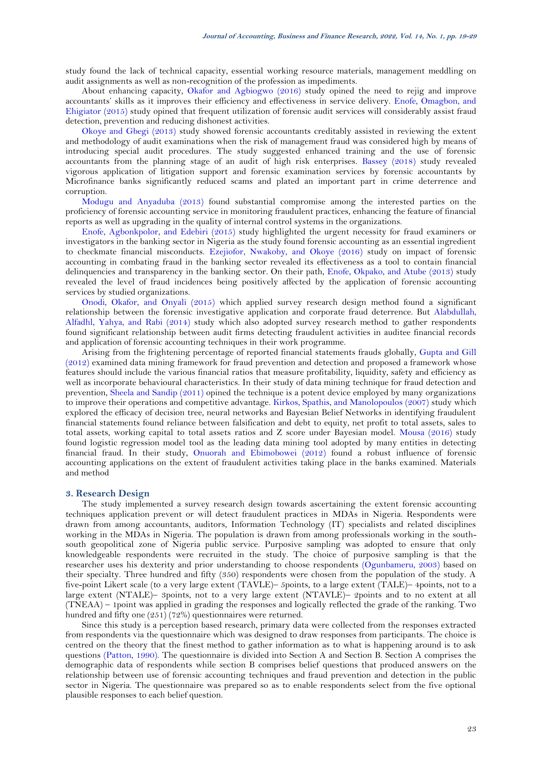study found the lack of technical capacity, essential working resource materials, management meddling on audit assignments as well as non-recognition of the profession as impediments.

About enhancing capacity, [Okafor and Agbiogwo \(2016\)](#page-9-9) study opined the need to rejig and improve accountants' skills as it improves their efficiency and effectiveness in service delivery. [Enofe, Omagbon, and](#page-9-10)  [Ehigiator \(2015\)](#page-9-10) study opined that frequent utilization of forensic audit services will considerably assist fraud detection, prevention and reducing dishonest activities.

[Okoye and Gbegi \(2013\)](#page-10-3) study showed forensic accountants creditably assisted in reviewing the extent and methodology of audit examinations when the risk of management fraud was considered high by means of introducing special audit procedures. The study suggested enhanced training and the use of forensic accountants from the planning stage of an audit of high risk enterprises. [Bassey \(2018\)](#page-9-11) study revealed vigorous application of litigation support and forensic examination services by forensic accountants by Microfinance banks significantly reduced scams and plated an important part in crime deterrence and corruption.

[Modugu and Anyaduba \(2013\)](#page-9-12) found substantial compromise among the interested parties on the proficiency of forensic accounting service in monitoring fraudulent practices, enhancing the feature of financial reports as well as upgrading in the quality of internal control systems in the organizations.

[Enofe, Agbonkpolor, and Edebiri](#page-9-13) (2015) study highlighted the urgent necessity for fraud examiners or investigators in the banking sector in Nigeria as the study found forensic accounting as an essential ingredient to checkmate financial misconducts. [Ezejiofor, Nwakoby, and Okoye \(2016\)](#page-9-14) study on impact of forensic accounting in combating fraud in the banking sector revealed its effectiveness as a tool to contain financial delinquencies and transparency in the banking sector. On their path, [Enofe, Okpako, and Atube \(2013\)](#page-9-15) study revealed the level of fraud incidences being positively affected by the application of forensic accounting services by studied organizations.

[Onodi, Okafor, and Onyali \(2015\)](#page-10-4) which applied survey research design method found a significant relationship between the forensic investigative application and corporate fraud deterrence. But [Alabdullah,](#page-9-16)  [Alfadhl, Yahya, and Rabi \(2014\)](#page-9-16) study which also adopted survey research method to gather respondents found significant relationship between audit firms detecting fraudulent activities in auditee financial records and application of forensic accounting techniques in their work programme.

Arising from the frightening percentage of reported financial statements frauds globally, [Gupta and Gill](#page-9-17)  [\(2012\)](#page-9-17) examined data mining framework for fraud prevention and detection and proposed a framework whose features should include the various financial ratios that measure profitability, liquidity, safety and efficiency as well as incorporate behavioural characteristics. In their study of data mining technique for fraud detection and prevention, [Sheela and Sandip \(2011\)](#page-10-5) opined the technique is a potent device employed by many organizations to improve their operations and competitive advantage. [Kirkos, Spathis, and Manolopoulos \(2007\)](#page-9-18) study which explored the efficacy of decision tree, neural networks and Bayesian Belief Networks in identifying fraudulent financial statements found reliance between falsification and debt to equity, net profit to total assets, sales to total assets, working capital to total assets ratios and Z score under Bayesian model. [Mousa \(2016\)](#page-9-19) study found logistic regression model tool as the leading data mining tool adopted by many entities in detecting financial fraud. In their study, [Onuorah and Ebimobowei \(2012\)](#page-10-6) found a robust influence of forensic accounting applications on the extent of fraudulent activities taking place in the banks examined. Materials and method

# **3. Research Design**

The study implemented a survey research design towards ascertaining the extent forensic accounting techniques application prevent or will detect fraudulent practices in MDAs in Nigeria. Respondents were drawn from among accountants, auditors, Information Technology (IT) specialists and related disciplines working in the MDAs in Nigeria. The population is drawn from among professionals working in the southsouth geopolitical zone of Nigeria public service. Purposive sampling was adopted to ensure that only knowledgeable respondents were recruited in the study. The choice of purposive sampling is that the researcher uses his dexterity and prior understanding to choose respondents [\(Ogunbameru, 2003\)](#page-9-20) based on their specialty. Three hundred and fifty (350) respondents were chosen from the population of the study. A five-point Likert scale (to a very large extent (TAVLE)– 5points, to a large extent (TALE)– 4points, not to a large extent (NTALE)– 3points, not to a very large extent (NTAVLE)– 2points and to no extent at all (TNEAA) – 1point was applied in grading the responses and logically reflected the grade of the ranking. Two hundred and fifty one (251) (72%) questionnaires were returned.

Since this study is a perception based research, primary data were collected from the responses extracted from respondents via the questionnaire which was designed to draw responses from participants. The choice is centred on the theory that the finest method to gather information as to what is happening around is to ask questions [\(Patton, 1990\)](#page-10-7). The questionnaire is divided into Section A and Section B. Section A comprises the demographic data of respondents while section B comprises belief questions that produced answers on the relationship between use of forensic accounting techniques and fraud prevention and detection in the public sector in Nigeria. The questionnaire was prepared so as to enable respondents select from the five optional plausible responses to each belief question.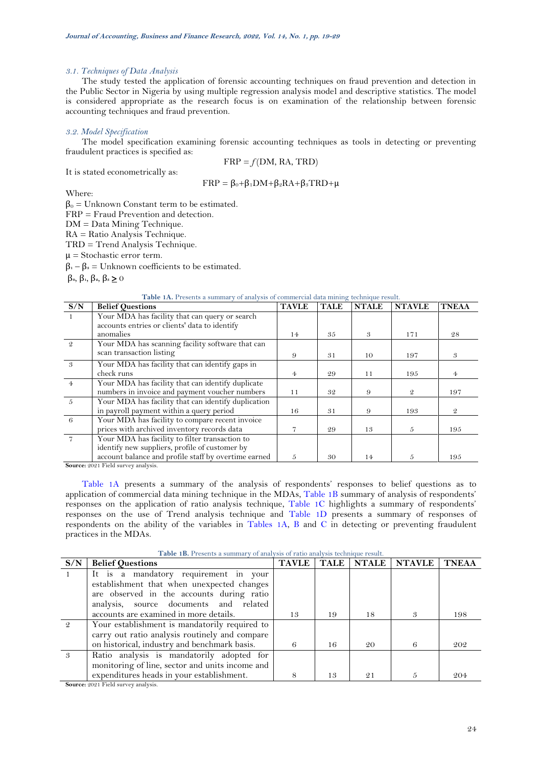### *3.1. Techniques of Data Analysis*

The study tested the application of forensic accounting techniques on fraud prevention and detection in the Public Sector in Nigeria by using multiple regression analysis model and descriptive statistics. The model is considered appropriate as the research focus is on examination of the relationship between forensic accounting techniques and fraud prevention.

### *3.2. Model Specification*

The model specification examining forensic accounting techniques as tools in detecting or preventing fraudulent practices is specified as:

It is stated econometrically as:

$$
FRP = f(DM, RA, TRD)
$$
  

$$
FRP = \beta_0 + \beta_1 DM + \beta_2 RA + \beta_3 TRD + \mu
$$

Where:

 $β<sub>0</sub> = Unknown Constant term to be estimated.$ 

FRP = Fraud Prevention and detection.

DM = Data Mining Technique.

RA = Ratio Analysis Technique.

TRD = Trend Analysis Technique.

 $\mu$  = Stochastic error term.

 $β<sub>1</sub> - β<sub>3</sub> = Unknown coefficients to be estimated.$ 

β**0**, β**1**, β**2**, β**<sup>3</sup>** 0

### **Table 1A.** Presents a summary of analysis of commercial data mining technique result.

<span id="page-5-0"></span>

| S/N            | <b>Belief Ouestions</b>                              | <b>TAVLE</b> | <b>TALE</b> | <b>NTALE</b> | <b>NTAVLE</b> | <b>TNEAA</b>   |
|----------------|------------------------------------------------------|--------------|-------------|--------------|---------------|----------------|
|                | Your MDA has facility that can query or search       |              |             |              |               |                |
|                | accounts entries or clients' data to identify        |              |             |              |               |                |
|                | anomalies                                            | 14           | 35          | 3            | 171           | 28             |
| -2             | Your MDA has scanning facility software that can     |              |             |              |               |                |
|                | scan transaction listing                             | 9            | 31          | 10           | 197           | 3              |
| -3             | Your MDA has facility that can identify gaps in      |              |             |              |               |                |
|                | check runs                                           | 4            | 29          | 11           | 195           | $\overline{4}$ |
| $\overline{4}$ | Your MDA has facility that can identify duplicate    |              |             |              |               |                |
|                | numbers in invoice and payment voucher numbers       | 11           | 32          | 9            | $\mathcal{Q}$ | 197            |
| $-5$           | Your MDA has facility that can identify duplication  |              |             |              |               |                |
|                | in payroll payment within a query period             | 16           | 31          | 9            | 193           | $\mathcal{Q}$  |
| -6             | Your MDA has facility to compare recent invoice      |              |             |              |               |                |
|                | prices with archived inventory records data          |              | 29          | 13           | 5             | 195            |
|                | Your MDA has facility to filter transaction to       |              |             |              |               |                |
|                | identify new suppliers, profile of customer by       |              |             |              |               |                |
|                | account balance and profile staff by overtime earned | 5            | 30          | 14           | 5             | 195            |

**Source:** 2021 Field survey analysis.

[Table 1A](#page-5-0) presents a summary of the analysis of respondents' responses to belief questions as to application of commercial data mining technique in the MDAs, [Table 1B](#page-5-1) summary of analysis of respondents' responses on the application of ratio analysis technique, [Table 1C](#page-6-0) highlights a summary of respondents' responses on the use of Trend analysis technique and [Table 1D](#page-6-1) presents a summary of responses of respondents on the ability of the variables in [Tables 1A,](#page-5-0) [B](#page-5-1) and [C](#page-6-0) in detecting or preventing fraudulent practices in the MDAs.

<span id="page-5-1"></span>

| 198  |
|------|
|      |
|      |
| 202  |
|      |
|      |
| -204 |
|      |

**Table 1B.** Presents a summary of analysis of ratio analysis technique result.

**Source:** 2021 Field survey analysis.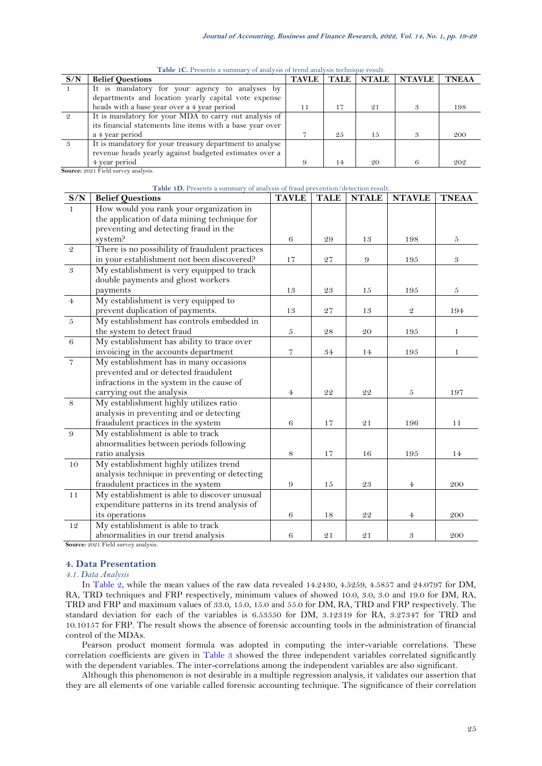<span id="page-6-0"></span>

| S/N | <b>Belief Questions</b>                                   | <b>TAVLE</b> | <b>TALE</b> | <b>NTALE</b> | <b>NTAVLE</b> | <b>TNEAA</b> |
|-----|-----------------------------------------------------------|--------------|-------------|--------------|---------------|--------------|
|     | It is mandatory for your agency to analyses by            |              |             |              |               |              |
|     | departments and location yearly capital vote expense      |              |             |              |               |              |
|     | heads with a base year over a 4 year period               | 11           | 17          | 21           |               | 198          |
|     | It is mandatory for your MDA to carry out analysis of     |              |             |              |               |              |
|     | its financial statements line items with a base year over |              |             |              |               |              |
|     | a 4 year period                                           |              | 25          | 15           |               | 200          |
| 3   | It is mandatory for your treasury department to analyse   |              |             |              |               |              |
|     | revenue heads yearly against budgeted estimates over a    |              |             |              |               |              |
|     | 4 year period                                             |              | 14          | 20           |               | 202          |
|     | Source: 2021 Field survey analysis.                       |              |             |              |               |              |

**Table 1C.** Presents a summary of analysis of trend analysis technique result.

## **Table 1D.** Presents a summary of analysis of fraud prevention/detection result.

<span id="page-6-1"></span>

| S/N              | <b>Belief Questions</b>                         | <b>TAVLE</b>     | <b>TALE</b> | <b>NTALE</b> | <b>NTAVLE</b>  | <b>TNEAA</b> |
|------------------|-------------------------------------------------|------------------|-------------|--------------|----------------|--------------|
| $\mathbf{1}$     | How would you rank your organization in         |                  |             |              |                |              |
|                  | the application of data mining technique for    |                  |             |              |                |              |
|                  | preventing and detecting fraud in the           |                  |             |              |                |              |
|                  | system?                                         | 6                | 29          | 13           | 198            | 5            |
| $\mathfrak{D}$   | There is no possibility of fraudulent practices |                  |             |              |                |              |
|                  | in your establishment not been discovered?      | 17               | 27          | 9            | 195            | 3            |
| $\sqrt{3}$       | My establishment is very equipped to track      |                  |             |              |                |              |
|                  | double payments and ghost workers               |                  |             |              |                |              |
|                  | payments                                        | 13               | $\sqrt{23}$ | 15           | 195            | 5            |
| $\overline{4}$   | My establishment is very equipped to            |                  |             |              |                |              |
|                  | prevent duplication of payments.                | 13               | 27          | 13           | $\mathcal{Q}$  | 194          |
| $\boldsymbol{5}$ | My establishment has controls embedded in       |                  |             |              |                |              |
|                  | the system to detect fraud                      | $\boldsymbol{5}$ | $\sqrt{28}$ | 20           | 195            | 1            |
| $\,6\,$          | My establishment has ability to trace over      |                  |             |              |                |              |
|                  | invoicing in the accounts department            | $\overline{7}$   | 34          | 14           | 195            | 1            |
| $\overline{7}$   | My establishment has in many occasions          |                  |             |              |                |              |
|                  | prevented and or detected fraudulent            |                  |             |              |                |              |
|                  | infractions in the system in the cause of       |                  |             |              |                |              |
|                  | carrying out the analysis                       | $\overline{4}$   | 22          | 22           | $\sqrt{5}$     | 197          |
| 8                | My establishment highly utilizes ratio          |                  |             |              |                |              |
|                  | analysis in preventing and or detecting         |                  |             |              |                |              |
|                  | fraudulent practices in the system              | 6                | 17          | 21           | 196            | 11           |
| $\,9$            | My establishment is able to track               |                  |             |              |                |              |
|                  | abnormalities between periods following         |                  |             |              |                |              |
|                  | ratio analysis                                  | 8                | 17          | 16           | 195            | 14           |
| 10               | My establishment highly utilizes trend          |                  |             |              |                |              |
|                  | analysis technique in preventing or detecting   |                  |             |              |                |              |
|                  | fraudulent practices in the system              | 9                | 15          | 23           | $\overline{4}$ | 200          |
| 11               | My establishment is able to discover unusual    |                  |             |              |                |              |
|                  | expenditure patterns in its trend analysis of   |                  |             |              |                |              |
|                  | its operations                                  | 6                | 18          | 22           | $\overline{4}$ | 200          |
| 12               | My establishment is able to track               |                  |             |              |                |              |
|                  | abnormalities in our trend analysis             | 6                | 21          | 21           | 3              | 200          |

**Source:** 2021 Field survey analysis.

### **4. Data Presentation**

*4.1. Data Analysis*

In [Table 2,](#page-7-0) while the mean values of the raw data revealed 14.2430, 4.5259, 4.5857 and 24.0797 for DM, RA, TRD techniques and FRP respectively, minimum values of showed 10.0, 3.0, 3.0 and 19.0 for DM, RA, TRD and FRP and maximum values of 33.0, 15.0, 15.0 and 55.0 for DM, RA, TRD and FRP respectively. The standard deviation for each of the variables is 6.53550 for DM, 3.12319 for RA, 3.27347 for TRD and 10.10157 for FRP. The result shows the absence of forensic accounting tools in the administration of financial control of the MDAs.

Pearson product moment formula was adopted in computing the inter-variable correlations. These correlation coefficients are given in [Table 3](#page-7-1) showed the three independent variables correlated significantly with the dependent variables. The inter-correlations among the independent variables are also significant.

Although this phenomenon is not desirable in a multiple regression analysis, it validates our assertion that they are all elements of one variable called forensic accounting technique. The significance of their correlation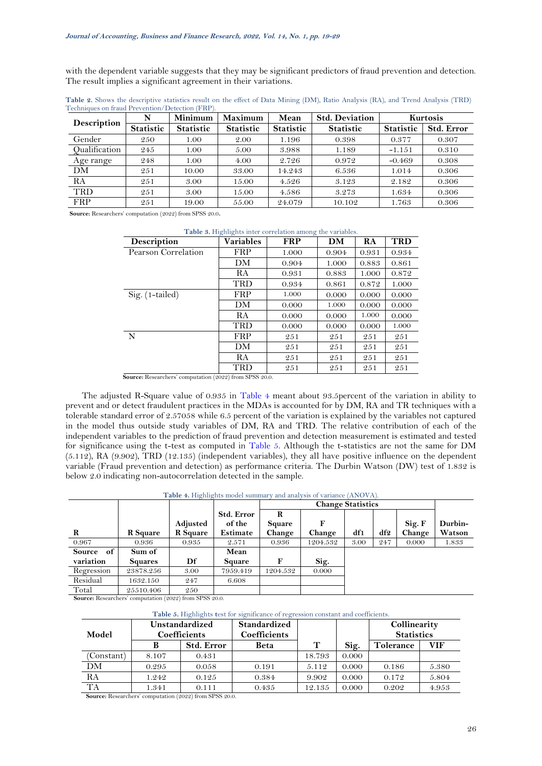with the dependent variable suggests that they may be significant predictors of fraud prevention and detection. The result implies a significant agreement in their variations.

| Description   | N                | Minimum          | <b>Maximum</b>   | Mean             | <b>Std. Deviation</b> |                  | Kurtosis          |
|---------------|------------------|------------------|------------------|------------------|-----------------------|------------------|-------------------|
|               | <b>Statistic</b> | <b>Statistic</b> | <b>Statistic</b> | <b>Statistic</b> | <b>Statistic</b>      | <b>Statistic</b> | <b>Std. Error</b> |
| Gender        | 250              | 1.00             | 2.00             | 1.196            | 0.398                 | 0.377            | 0.307             |
| Qualification | 245              | 1.00             | 5.00             | 3.988            | 1.189                 | $-1.151$         | 0.310             |
| Age range     | 248              | 1.00             | 4.00             | 2.726            | 0.972                 | $-0.469$         | 0.308             |
| DM            | 251              | 10.00            | 33.00            | 14.243           | 6.536                 | 1.014            | 0.306             |
| RA            | 251              | 3.00             | 15.00            | 4.526            | 3.123                 | 2.182            | 0.306             |
| <b>TRD</b>    | 251              | 3.00             | 15.00            | 4.586            | 3.273                 | 1.634            | 0.306             |
| <b>FRP</b>    | 251              | 19.00            | 55.00            | 24.079           | 10.102                | 1.763            | 0.306             |

<span id="page-7-0"></span>**Table 2.** Shows the descriptive statistics result on the effect of Data Mining (DM), Ratio Analysis (RA), and Trend Analysis (TRD) Techniques on fraud Prevention/Detection (FRP).

<span id="page-7-1"></span>**Source:** Researchers' computation (2022) from SPSS 20.0.

| <b>Description</b>  | <b>Variables</b> | <b>FRP</b> | DM    | RA    | <b>TRD</b> |
|---------------------|------------------|------------|-------|-------|------------|
| Pearson Correlation | FRP              | 1.000      | 0.904 | 0.931 | 0.934      |
|                     | DM               | 0.904      | 1.000 | 0.883 | 0.861      |
|                     | RA               | 0.931      | 0.883 | 1.000 | 0.872      |
|                     | TRD              | 0.934      | 0.861 | 0.872 | 1.000      |
| Sig. (1-tailed)     | FRP              | 1.000      | 0.000 | 0.000 | 0.000      |
|                     | DМ               | 0.000      | 1.000 | 0.000 | 0.000      |
|                     | <b>RA</b>        | 0.000      | 0.000 | 1.000 | 0.000      |
|                     | TRD              | 0.000      | 0.000 | 0.000 | 1.000      |
| N                   | FRP              | 251        | 251   | 251   | 251        |
|                     | DM               | 251        | 251   | 251   | 251        |
|                     | RA               | 251        | 251   | 251   | 251        |
|                     | TRD              | 251        | 251   | 251   | 251        |

|  | Table 3. Highlights inter correlation among the variables. |  |  |
|--|------------------------------------------------------------|--|--|
|  |                                                            |  |  |

**Source:** Researchers' computation (2022) from SPSS 20.0.

The adjusted R-Square value of 0.935 in [Table 4](#page-7-2) meant about 93.5percent of the variation in ability to prevent and or detect fraudulent practices in the MDAs is accounted for by DM, RA and TR techniques with a tolerable standard error of 2.57058 while 6.5 percent of the variation is explained by the variables not captured in the model thus outside study variables of DM, RA and TRD. The relative contribution of each of the independent variables to the prediction of fraud prevention and detection measurement is estimated and tested for significance using the t-test as computed in [Table 5.](#page-7-3) Although the t-statistics are not the same for DM (5.112), RA (9.902), TRD (12.135) (independent variables), they all have positive influence on the dependent variable (Fraud prevention and detection) as performance criteria. The Durbin Watson (DW) test of 1.832 is below 2.0 indicating non-autocorrelation detected in the sample.

**Table 4.** Highlights model summary and analysis of variance (ANOVA).

<span id="page-7-2"></span>

|                     |                 |          |                   |          | <b>Change Statistics</b> |      |     |        |         |
|---------------------|-----------------|----------|-------------------|----------|--------------------------|------|-----|--------|---------|
|                     |                 |          | <b>Std. Error</b> | R        |                          |      |     |        |         |
|                     |                 | Adjusted | of the            | Square   | F                        |      |     | Sig. F | Durbin- |
| R                   | <b>R</b> Square | R Square | Estimate          | Change   | Change                   | df1  | df2 | Change | Watson  |
| 0.967               | 0.936           | 0.935    | 2.571             | 0.936    | 1204.532                 | 3.00 | 247 | 0.000  | 1.833   |
| of<br><b>Source</b> | Sum of          |          | Mean              |          |                          |      |     |        |         |
| variation           | <b>Squares</b>  | Df       | Square            | F        | Sig.                     |      |     |        |         |
| Regression          | 23878.256       | 3.00     | 7959.419          | 1204.532 | 0.000                    |      |     |        |         |
| Residual            | 1632.150        | 247      | 6.608             |          |                          |      |     |        |         |
| Total               | 25510.406       | 250      |                   |          |                          |      |     |        |         |

<span id="page-7-3"></span>**Source:** Researchers' computation (2022) from SPSS 20.0.

#### **Table 5.** Highlights **t**est for significance of regression constant and coefficients.

|            | <b>Unstandardized</b><br><b>Coefficients</b> |                   | <b>Standardized</b> |        |       | Collinearity      |       |  |
|------------|----------------------------------------------|-------------------|---------------------|--------|-------|-------------------|-------|--|
| Model      |                                              |                   | Coefficients        |        |       | <b>Statistics</b> |       |  |
|            | В                                            | <b>Std. Error</b> | Beta                | Т      | Sig.  | Tolerance         | VIF   |  |
| (Constant) | 8.107                                        | 0.431             |                     | 18.793 | 0.000 |                   |       |  |
| DМ         | 0.295                                        | 0.058             | 0.191               | 5.112  | 0.000 | 0.186             | 5.380 |  |
| RA         | 1.242                                        | 0.125             | 0.384               | 9.902  | 0.000 | 0.172             | 5.804 |  |
| <b>TA</b>  | 1.341                                        | 0.111             | 0.435               | 12.135 | 0.000 | 0.202             | 4.953 |  |

**Source:** Researchers' computation (2022) from SPSS 20.0.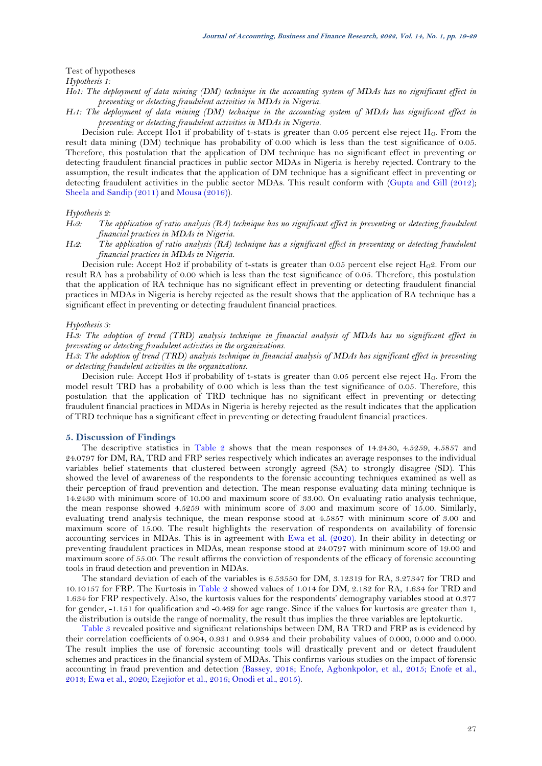Test of hypotheses

*Hypothesis 1:*

*Ho1: The deployment of data mining (DM) technique in the accounting system of MDAs has no significant effect in preventing or detecting fraudulent activities in MDAs in Nigeria.*

*HA1: The deployment of data mining (DM) technique in the accounting system of MDAs has significant effect in preventing or detecting fraudulent activities in MDAs in Nigeria.* 

Decision rule: Accept Ho1 if probability of t-stats is greater than 0.05 percent else reject H<sub>0</sub>. From the result data mining (DM) technique has probability of 0.00 which is less than the test significance of 0.05. Therefore, this postulation that the application of DM technique has no significant effect in preventing or detecting fraudulent financial practices in public sector MDAs in Nigeria is hereby rejected. Contrary to the assumption, the result indicates that the application of DM technique has a significant effect in preventing or detecting fraudulent activities in the public sector MDAs. This result conform with [\(Gupta and Gill \(2012\)](#page-9-17); [Sheela and Sandip \(2011\)](#page-10-5) and [Mousa \(2016\)](#page-9-19)).

# *Hypothesis 2:*

*HO2: The application of ratio analysis (RA) technique has no significant effect in preventing or detecting fraudulent financial practices in MDAs in Nigeria.*

*HA2: The application of ratio analysis (RA) technique has a significant effect in preventing or detecting fraudulent financial practices in MDAs in Nigeria.*

Decision rule: Accept Ho2 if probability of t-stats is greater than 0.05 percent else reject H<sub>0</sub>2. From our result RA has a probability of 0.00 which is less than the test significance of 0.05. Therefore, this postulation that the application of RA technique has no significant effect in preventing or detecting fraudulent financial practices in MDAs in Nigeria is hereby rejected as the result shows that the application of RA technique has a significant effect in preventing or detecting fraudulent financial practices.

### *Hypothesis 3:*

*H03: The adoption of trend (TRD) analysis technique in financial analysis of MDAs has no significant effect in preventing or detecting fraudulent activities in the organizations.* 

*HA3: The adoption of trend (TRD) analysis technique in financial analysis of MDAs has significant effect in preventing or detecting fraudulent activities in the organizations.* 

Decision rule: Accept Ho3 if probability of t-stats is greater than 0.05 percent else reject H<sub>0</sub>. From the model result TRD has a probability of 0.00 which is less than the test significance of 0.05. Therefore, this postulation that the application of TRD technique has no significant effect in preventing or detecting fraudulent financial practices in MDAs in Nigeria is hereby rejected as the result indicates that the application of TRD technique has a significant effect in preventing or detecting fraudulent financial practices.

### **5. Discussion of Findings**

The descriptive statistics in [Table 2](#page-7-0) shows that the mean responses of 14.2430, 4.5259, 4.5857 and 24.0797 for DM, RA, TRD and FRP series respectively which indicates an average responses to the individual variables belief statements that clustered between strongly agreed (SA) to strongly disagree (SD). This showed the level of awareness of the respondents to the forensic accounting techniques examined as well as their perception of fraud prevention and detection. The mean response evaluating data mining technique is 14.2430 with minimum score of 10.00 and maximum score of 33.00. On evaluating ratio analysis technique, the mean response showed 4.5259 with minimum score of 3.00 and maximum score of 15.00. Similarly, evaluating trend analysis technique, the mean response stood at 4.5857 with minimum score of 3.00 and maximum score of 15.00. The result highlights the reservation of respondents on availability of forensic accounting services in MDAs. This is in agreement with [Ewa et al. \(2020\)](#page-9-3). In their ability in detecting or preventing fraudulent practices in MDAs, mean response stood at 24.0797 with minimum score of 19.00 and maximum score of 55.00. The result affirms the conviction of respondents of the efficacy of forensic accounting tools in fraud detection and prevention in MDAs.

The standard deviation of each of the variables is 6.53550 for DM, 3.12319 for RA, 3.27347 for TRD and 10.10157 for FRP. The Kurtosis in [Table 2](#page-7-0) showed values of 1.014 for DM, 2.182 for RA, 1.634 for TRD and 1.634 for FRP respectively. Also, the kurtosis values for the respondents' demography variables stood at 0.377 for gender, -1.151 for qualification and -0.469 for age range. Since if the values for kurtosis are greater than 1, the distribution is outside the range of normality, the result thus implies the three variables are leptokurtic.

[Table 3](#page-7-1) revealed positive and significant relationships between DM, RA TRD and FRP as is evidenced by their correlation coefficients of 0.904, 0.931 and 0.934 and their probability values of 0.000, 0.000 and 0.000. The result implies the use of forensic accounting tools will drastically prevent and or detect fraudulent schemes and practices in the financial system of MDAs. This confirms various studies on the impact of forensic accounting in fraud prevention and detection [\(Bassey, 2018;](#page-9-11) [Enofe, Agbonkpolor, et al., 2015;](#page-9-13) [Enofe et al.,](#page-9-15)  [2013;](#page-9-15) [Ewa et al., 2020;](#page-9-3) [Ezejiofor et al., 2016;](#page-9-14) [Onodi et al., 2015\)](#page-10-4).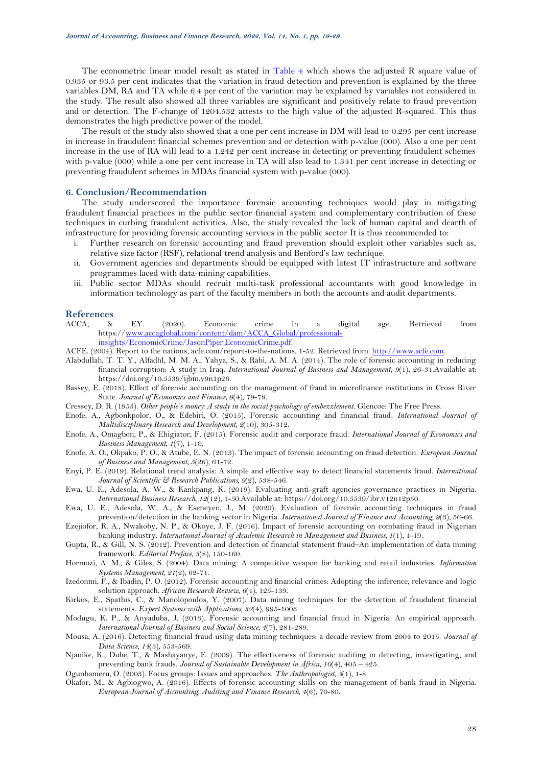The econometric linear model result as stated in [Table 4](#page-7-2) which shows the adjusted R square value of 0.935 or 93.5 per cent indicates that the variation in fraud detection and prevention is explained by the three variables DM, RA and TA while 6.4 per cent of the variation may be explained by variables not considered in the study. The result also showed all three variables are significant and positively relate to fraud prevention and or detection. The F-change of 1204.532 attests to the high value of the adjusted R-squared. This thus demonstrates the high predictive power of the model.

The result of the study also showed that a one per cent increase in DM will lead to 0.295 per cent increase in increase in fraudulent financial schemes prevention and or detection with p-value (000). Also a one per cent increase in the use of RA will lead to a 1.242 per cent increase in detecting or preventing fraudulent schemes with p-value (000) while a one per cent increase in TA will also lead to 1.341 per cent increase in detecting or preventing fraudulent schemes in MDAs financial system with p-value (000).

## **6. Conclusion/Recommendation**

The study underscored the importance forensic accounting techniques would play in mitigating fraudulent financial practices in the public sector financial system and complementary contribution of these techniques in curbing fraudulent activities. Also, the study revealed the lack of human capital and dearth of infrastructure for providing forensic accounting services in the public sector It is thus recommended to:

- i. Further research on forensic accounting and fraud prevention should exploit other variables such as, relative size factor (RSF), relational trend analysis and Benford's law technique.
- ii. Government agencies and departments should be equipped with latest IT infrastructure and software programmes laced with data-mining capabilities.
- iii. Public sector MDAs should recruit multi-task professional accountants with good knowledge in information technology as part of the faculty members in both the accounts and audit departments.

## **References**

- <span id="page-9-2"></span>ACCA, & EY. (2020). Economic crime in a digital age. Retrieved from https:/[/www.accaglobal.com/content/dam/ACCA\\_Global/professional](http://www.accaglobal.com/content/dam/ACCA_Global/professional-insights/EconomicCrime/JasonPiper.EconomicCrime.pdf)[insights/EconomicCrime/JasonPiper.EconomicCrime.pdf.](http://www.accaglobal.com/content/dam/ACCA_Global/professional-insights/EconomicCrime/JasonPiper.EconomicCrime.pdf)
- <span id="page-9-1"></span>ACFE. (2004). Report to the nations, acfe.com/report-to-the-nations, 1-52. Retrieved from[: http://www.acfe.com.](http://www.acfe.com/)
- <span id="page-9-16"></span>Alabdullah, T. T. Y., Alfadhl, M. M. A., Yahya, S., & Rabi, A. M. A. (2014). The role of forensic accounting in reducing financial corruption: A study in Iraq. *International Journal of Business and Management, 9*(1), 26-34.Available at: https://doi.org/10.5539/ijbm.v9n1p26.
- <span id="page-9-11"></span>Bassey, E. (2018). Effect of forensic accounting on the management of fraud in microfinance institutions in Cross River State. *Journal of Economics and Finance, 9*(4), 79-78.
- <span id="page-9-4"></span>Cressey, D. R. (1953). *Other people's money: A study in the social psychology of embezzlement*. Glencoe: The Free Press.
- <span id="page-9-13"></span>Enofe, A., Agbonkpolor, O., & Edebiri, O. (2015). Forensic accounting and financial fraud. *International Journal of Multidisciplinary Research and Development, 2*(10), 305-312.
- <span id="page-9-10"></span>Enofe, A., Omagbon, P., & Ehigiator, F. (2015). Forensic audit and corporate fraud. *International Journal of Economics and Business Management, 1*(7), 1-10.
- <span id="page-9-15"></span>Enofe, A. O., Okpako, P. O., & Atube, E. N. (2013). The impact of forensic accounting on fraud detection. *European Journal of Business and Management, 5*(26), 61-72.
- <span id="page-9-5"></span>Enyi, P. E. (2019). Relational trend analysis: A simple and effective way to detect financial statements fraud. *International Journal of Scientific & Research Publications, 9*(2), 538-546.
- <span id="page-9-0"></span>Ewa, U. E., Adesola, A. W., & Kankpang, K. (2019). Evaluating anti-graft agencies governance practices in Nigeria. *International Business Research, 12*(12), 1-50.Available at: https://doi.org/10.5539/ibr.v12n12p50.
- <span id="page-9-3"></span>Ewa, U. E., Adesola, W. A., & Eseneyen, J., M. (2020). Evaluation of forensic accounting techniques in fraud prevention/detection in the banking sector in Nigeria. *International Journal of Finance and Accounting, 9*(3), 56-66.
- <span id="page-9-14"></span>Ezejiofor, R. A., Nwakoby, N. P., & Okoye, J. F. (2016). Impact of forensic accounting on combating fraud in Nigerian banking industry. *International Journal of Academic Research in Management and Business, 1*(1), 1-19.
- <span id="page-9-17"></span>Gupta, R., & Gill, N. S. (2012). Prevention and detection of financial statement fraud–An implementation of data mining framework. *Editorial Preface, 3*(8), 150-160.
- <span id="page-9-6"></span>Hormozi, A. M., & Giles, S. (2004). Data mining: A competitive weapon for banking and retail industries. *Information Systems Management, 21*(2), 62-71.
- <span id="page-9-7"></span>Izedonmi, F., & Ibadin, P. O. (2012). Forensic accounting and financial crimes: Adopting the inference, relevance and logic solution approach. *African Research Review, 6*(4), 125-139.
- <span id="page-9-18"></span>Kirkos, E., Spathis, C., & Manolopoulos, Y. (2007). Data mining techniques for the detection of fraudulent financial statements. *Expert Systems with Applications, 32*(4), 995-1003.
- <span id="page-9-12"></span>Modugu, K. P., & Anyaduba, J. (2013). Forensic accounting and financial fraud in Nigeria: An empirical approach. *International Journal of Business and Social Science, 4*(7), 281-289.
- <span id="page-9-19"></span>Mousa, A. (2016). Detecting financial fraud using data mining techniques: a decade review from 2004 to 2015. *Journal of Data Science, 14*(3), 553-569.
- <span id="page-9-8"></span>Njanike, K., Dube, T., & Mashayanye, E. (2009). The effectiveness of forensic auditing in detecting, investigating, and preventing bank frauds. *Journal of Sustainable Development in Africa, 10*(4), 405 – 425.
- <span id="page-9-20"></span>Ogunbameru, O. (2003). Focus groups: Issues and approaches. *The Anthropologist, 5*(1), 1-8.
- <span id="page-9-9"></span>Okafor, M., & Agbiogwo, A. (2016). Effects of forensic accounting skills on the management of bank fraud in Nigeria. *European Journal of Accounting, Auditing and Finance Research, 4*(6), 70-80.